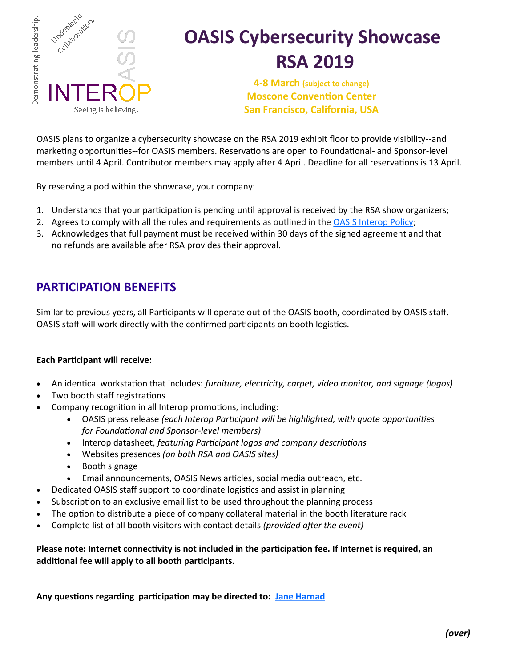

# **OASIS Cybersecurity Showcase RSA 2019**

**4-8 March (subject to change) Moscone Convention Center San Francisco, California, USA** 

OASIS plans to organize a cybersecurity showcase on the RSA 2019 exhibit floor to provide visibility--and marketing opportunities--for OASIS members. Reservations are open to Foundational- and Sponsor-level members until 4 April. Contributor members may apply after 4 April. Deadline for all reservations is 13 April.

By reserving a pod within the showcase, your company:

- 1. Understands that your participation is pending until approval is received by the RSA show organizers;
- 2. Agrees to comply with all the rules and requirements as outlined in the [OASIS Interop Policy;](https://www.oasis-open.org/policies-guidelines/interop)
- 3. Acknowledges that full payment must be received within 30 days of the signed agreement and that no refunds are available after RSA provides their approval.

### **PARTICIPATION BENEFITS**

Similar to previous years, all Participants will operate out of the OASIS booth, coordinated by OASIS staff. OASIS staff will work directly with the confirmed participants on booth logistics.

#### **Each Participant will receive:**

- An identical workstation that includes: *furniture, electricity, carpet, video monitor, and signage (logos)*
- Two booth staff registrations
- Company recognition in all Interop promotions, including:
	- OASIS press release *(each Interop Participant will be highlighted, with quote opportunities for Foundational and Sponsor-level members)*
	- Interop datasheet, *featuring Participant logos and company descriptions*
	- Websites presences *(on both RSA and OASIS sites)*
	- Booth signage
	- Email announcements, OASIS News articles, social media outreach, etc.
- Dedicated OASIS staff support to coordinate logistics and assist in planning
- Subscription to an exclusive email list to be used throughout the planning process
- The option to distribute a piece of company collateral material in the booth literature rack
- Complete list of all booth visitors with contact details *(provided after the event)*

**Please note: Internet connectivity is not included in the participation fee. If Internet is required, an additional fee will apply to all booth participants.** 

**Any questions regarding participation may be directed to: [Jane Harnad](mailto:jane.harnad@oasis-open.org)**